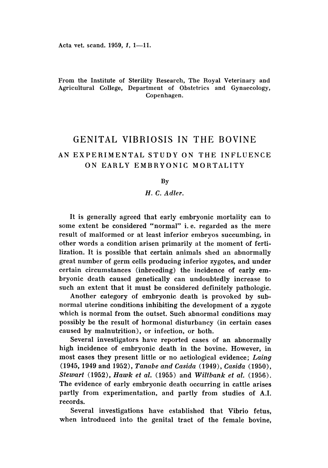# From the Institute of Sterility Research, The Royal Veterinary and Agricultural College, Department of Obstetrics and Gynaecology, Copenhagen.

# GENITAL VIBRIOSIS IN THE BOVINE AN EXPERIMENTAL STUDY ON THE INFLUENCE ON EARLY EMBRYONIC MORTALITY

#### By

## *H.* C. *Adler.*

It is generally agreed that early embryonic mortality can to some extent be considered "normal" i. e. regarded as the mere result of malformed or at least inferior embryos succumbing, in other words a condition arisen primarily at the moment of fertilization. It is possible that certain animals shed an abnormally great number of germ cells producing inferior zygotes, and under certain circumstances (inbreeding) the incidence of early embryonic death caused genetically can undoubtedly increase to such an extent that it must be considered definitely pathologic.

Another category of embryonic death is provoked by subnormal uterine conditions inhibiting the development of a zygote which is normal from the outset. Such abnormal conditions may possibly be the result of hormonal disturbancy (in certain cases caused by malnutrition), or infection, or both.

Several investigators have reported cases of an abnormally high incidence of embryonic death in the bovine. However, in most cases they present little or no aetiological evidence; *Laing* (1945,1949 and 1952), *Tanabe and Casida* (1949), *Casida (1950), Stewart* (1952), *Hawk et al.* (1955) and *Wiltbank et al. (1956 ).* The evidence of early embryonic death occurring in cattle arises partly from experimentation, and partly from studies of A.I. records.

Several investigations have established that Vibrio fetus, when introduced into the genital tract of the female bovine,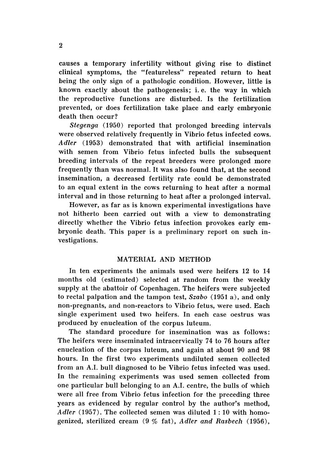causes a temporary infertility without giving rise to distinct clinical symptoms, the "featureless" repeated return to heat being the only sign of a pathologic condition. However, little is known exactly about the pathogenesis; i. e. the way in which the reproductive functions are disturbed. Is the fertilization prevented, or does fertilization take place and early embryonic death then occur?

*Stegenga* (1950) reported that prolonged breeding intervals were observed relatively frequently in Vibrio fetus infected cows. *Adler* (1953) demonstrated that with artificial insemination with semen from Vibrio fetus infected bulls the subsequent breeding intervals of the repeat breeders were prolonged more frequently than was normal. It was also found that, at the second insemination, a decreased fertility rate could be demonstrated to an equal extent in the cows returning to heat after a normal interval and in those returning to heat after a prolonged interval.

However, as far as is known experimental investigations have not hitherto been carried out with a view to demonstrating directly whether the Vibrio fetus infection provokes early embryonic death. This paper is a preliminary report on such investigations.

# MATERIAL AND METHOD

In ten experiments the animals used were heifers 12 to 14 months old (estimated) selected at random from the weekly supply at the abattoir of Copenhagen. The heifers were subjected to rectal palpation and the tampon test, *Szabo* (1951 a ), and only non-pregnants, and non-reactors to Vibrio fetus, were used. Each single experiment used two heifers. In each case oestrus was produced by enucleation of the corpus luteum.

The standard procedure for insemination was as follows: The heifers were inseminated intracervically 74 to 76 hours after enucleation of the corpus luteum, and again at about 90 and 98 hours. In the first two experiments undiluted semen collected from an A.I. bull diagnosed to be Vibrio fetus infected was used. In the remaining experiments was used semen collected from one particular bull belonging to an A.I. centre, the bulls of which were all free from Vibrio fetus infection for the preceding three years as evidenced by regular control by the author's method, Adler (1957). The collected semen was diluted 1:10 with homogenized, sterilized cream (9 % fat), *Adler and Rasbech* (1956 ),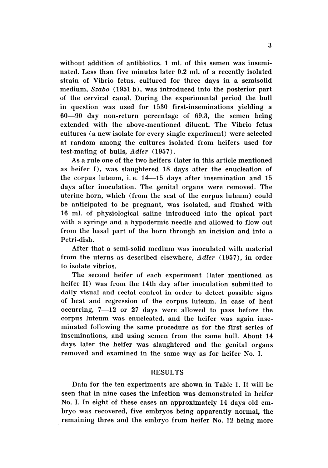without addition of antibiotics. 1 ml. of this semen was inseminated. Less than five minutes later 0.2 ml. of a recently isolated strain of Vibrio fetus, cultured for three days in a semisolid medium, *Szabo* (1951 b), was introduced into the posterior part of the cervical canal. During the experimental period the bull in question was used for 1530 first-inseminations yielding a 60-90 day non-return percentage of 69.3, the semen being extended with the above-mentioned diluent. The Vibrio fetus cultures (a new isolate for every single experiment) were selected at random among the cultures isolated from heifers used for test-mating of bulls, *Adler (1957).*

As a rule one of the two heifers (later in this article mentioned as heifer I), was slaughtered 18 days after the enucleation of the corpus luteum, i.e.  $14-15$  days after insemination and  $15$ days after inoculation. The genital organs were removed. The uterine horn, which (from the seat of the corpus luteum) could be anticipated to be pregnant, was isolated, and flushed with 16 ml. of physiological saline introduced into the apical part with a syringe and a hypodermic needle and allowed to flow out from the basal part of the horn through an incision and into a Petri-dish.

After that a semi-solid medium was inoculated with material from the uterus as described elsewhere, *Adler* (1957), in order to isolate vibrios.

The second heifer of each experiment (later mentioned as heifer II) was from the 14th day after inoculation submitted to daily visual and rectal control in order to detect possible signs of heat and regression of the corpus luteum. In case of heat occurring, 7-12 or <sup>27</sup> days were allowed to pass before the corpus luteum was enucleated, and the heifer was again inseminated following the same procedure as for the first series of inseminations, and using semen from the same bull. About 14 days later the heifer was slaughtered and the genital organs removed and examined in the same way as for heifer No. I.

# **RESULTS**

Data for the ten experiments are shown in Table 1. It will be seen that in nine cases the infection was demonstrated in heifer No. I. In eight of these cases an approximately 14 days old embryo was recovered, five embryos being apparently normal, the remaining three and the embryo from heifer No. 12 being more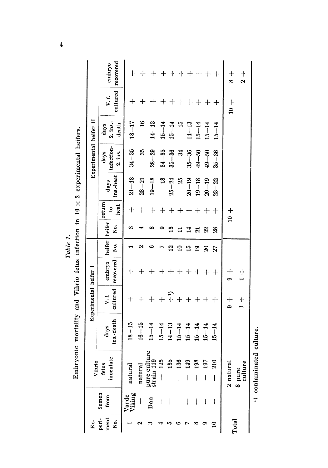| Ex-                 |                          | Vibrio                                  |                    | Experimental heiter 1 |                     |                           |                         |                                  |                   | Experimental heifer II        |                             |                                 |                                          |
|---------------------|--------------------------|-----------------------------------------|--------------------|-----------------------|---------------------|---------------------------|-------------------------|----------------------------------|-------------------|-------------------------------|-----------------------------|---------------------------------|------------------------------------------|
| peri-<br>ment<br>ż. | Semen<br>from            | late<br>fetus<br>inocul                 | ins.-death<br>days | cultured<br>V.I.      | recovered<br>embryo | heifer heifer<br>ż.       | Χo.                     | return<br>heat<br>$\mathbf{e}$   | ins.-heat<br>days | infection-<br>2. ins.<br>days | $2.$ ins.-<br>death<br>days | cultured<br>V.f.                | recovered<br>embryo                      |
|                     | Varde<br>Viking          | natural                                 | $18 - 15$          |                       | $\cdot$   $\cdot$   |                           | m                       | $\hspace{0.1mm} +\hspace{0.1mm}$ | $21 - 18$         | $34 - 35$                     | $18 - 17$                   | $\bm{+}$                        |                                          |
|                     | I                        | natural                                 | $16 - 15$          | $+$                   | $\hspace{0.1mm} +$  |                           |                         | $\, +$                           | $23 - 21$         | 35                            | $\mathbf{16}$               | ┽                               |                                          |
|                     | Dan                      | $\frac{1}{19}$<br>pure cul<br>strain 11 | $15 - 14$          |                       | $^{+}$              |                           | ∞                       | $\hspace{0.1mm} +$               | $19 - 18$         | $28 - 29$                     | $14 - 13$                   |                                 | $\hspace{0.1mm} +$                       |
|                     |                          | 25<br>$\overline{\mathbf{a}}$           | $15 - 14$          |                       |                     |                           |                         | $\hspace{.1cm} + \hspace{.1cm}$  | $\frac{8}{16}$    | $34 - 35$                     | $15 - 14$                   |                                 | $\hspace{.1cm} + \hspace{.1cm}$          |
|                     |                          | 33                                      | $14 - 13$          | $\div$                |                     | $\mathbf{z}$              | $\mathbf{r}$            | $\hspace{0.1mm} +$               | $25 - 24$         | $35 - 36$                     | $15 - 14$                   |                                 | ⊹ ∙                                      |
|                     | I                        | æ                                       | $15 - 14$          |                       | $\mathrm{+}$        | $\mathbf{c}$              |                         | $^{+}$                           | 25                | ಸೆ                            | $\frac{5}{10}$              |                                 | ٠ļ.                                      |
|                     | I                        | 9                                       | $15 - 14$          |                       | $\hspace{0.1mm} +$  | 15                        | 14                      | $^{+}$                           | $20 - 19$         | $35 - 36$                     | $14 - 13$                   | $\boldsymbol{+}$                | $\hspace{0.1mm} +$                       |
|                     | l                        | $\frac{8}{2}$                           | $15 - 14$          |                       | $^{+}$              | $\overline{19}$           | $\overline{\mathbf{z}}$ | $\bm{+}$                         | $19 - 18$         | $49 - 50$                     | $15 - 14$                   |                                 | $\hspace{0.1mm} +$                       |
|                     | $\overline{\phantom{a}}$ | 5                                       | $15 - 14$          |                       | $\mathrm{+}$        | $\boldsymbol{\mathsf{a}}$ | $\mathbb{Z}$            | $\,$ $+$                         | $20 - 19$         | $49 - 50$                     | $15 - 14$                   | $\hspace{.1cm} + \hspace{.1cm}$ | $^{+}$                                   |
|                     | I                        | $\mathbf{a}$<br>Ċ٦<br>I                 | $15 - 14$          | $^{+}$                | $\mathrm{+}$        | 27                        | 28                      | $^{+}$                           | $23 - 22$         | $35 - 36$                     | $15 - 14$                   | $\bm{+}$                        |                                          |
|                     |                          | 2 natural                               |                    | $\frac{1}{9}$         | $\frac{+}{3}$       |                           |                         | $\frac{1}{2}$                    |                   |                               |                             | $10 +$                          | $\frac{+}{8}$                            |
| Total               |                          | culture<br>8 pure                       |                    | $\cdot \cdot$         | · ·                 |                           |                         |                                  |                   |                               |                             |                                 | $\cdot \vert \cdot$<br>$\mathbf{\Omega}$ |
|                     |                          | <sup>1</sup> ) contamin                 | ated culture.      |                       |                     |                           |                         |                                  |                   |                               |                             |                                 |                                          |

Embryonic mortality and Vibrio fetus infection in  $10 \times 2$  experimental heifers. Table 1.

 $\overline{\mathbf{4}}$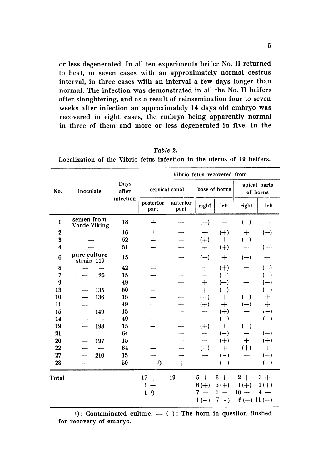or less degenerated. In all ten experiments heifer No. II returned to heat, in seven cases with an approximately normal oestrus interval, in three cases with an interval a few days longer than normal. The infection was demonstrated in all the No. II heifers after slaughtering, and as a result of reinsemination four to seven weeks after infection an approximately 14 days old embryo was recovered in eight cases, the embryo being apparently normal in three of them and more or less degenerated in five. In the

| Days<br>cervical canal<br>base of horns<br>No.<br>Inoculate<br>after<br>infection<br>anterior<br>posterior<br>right<br>left<br>part<br>part<br>semen from<br>18<br>$\mathbf{1}$<br>$\mathrm{+}$<br>$(-)$<br>$\mathrm{+}$<br>Varde Viking<br>16<br>$(+)$<br>$\bf{2}$<br>$\mathrm{+}$<br>$^{+}$<br>3<br>52<br>$\overline{+}$<br>$(+)$<br>$^{+}$<br>$+$<br>$\boldsymbol{4}$<br>$\pm$<br>$(+)$<br>51<br>$+$<br>$+$<br>pure culture<br>6<br>$(+)$<br>15<br>$^{+}$<br>$+$<br>$\div$<br>strain 119<br>42<br>$(+)$<br>8<br>$\mathrm{+}$<br>$\pm$<br>$^{+}$<br>15<br>7<br>125<br>$+$<br>·⊦<br>$(-)$<br>9<br>$+$<br>49<br>╇<br>$\! +$<br>$(-)$<br>50<br>13<br>135<br>$\overline{+}$<br>$^{+}$<br>$\mathrm{+}$<br>$(-)$<br>$(+)$<br>10<br>15<br>$+$<br>$+$<br>136<br>$^{+}$<br>11<br>49<br>$+$<br>$(+)$<br>$^{+}$<br>$\overline{+}$<br>$(+)$<br>15<br>149<br>15<br>$+$<br>49<br>$\overline{+}$<br>14<br>$(-)$<br>┿<br>19<br>198<br>15<br>$^{+}$<br>$\ddot{}$<br>$+$<br>$(+)$<br>$\overline{\phantom{0}}$<br>$\ddot{}$<br>$+$<br>21<br>64<br>$(-)$<br>$+$<br>20<br>197<br>15<br>$(+)$<br>$\, +$<br>$^{+}$<br>22<br>64<br>$\overline{+}$<br>$(+)$<br>$\div$<br>$\mathrm{+}$<br>27<br>210<br>15<br>$\mathrm{+}$<br>$(-)$ |  |  |  | Vibrio fetus recovered from |  |  |                                          |                          |
|------------------------------------------------------------------------------------------------------------------------------------------------------------------------------------------------------------------------------------------------------------------------------------------------------------------------------------------------------------------------------------------------------------------------------------------------------------------------------------------------------------------------------------------------------------------------------------------------------------------------------------------------------------------------------------------------------------------------------------------------------------------------------------------------------------------------------------------------------------------------------------------------------------------------------------------------------------------------------------------------------------------------------------------------------------------------------------------------------------------------------------------------------------------------------------------------------------|--|--|--|-----------------------------|--|--|------------------------------------------|--------------------------|
|                                                                                                                                                                                                                                                                                                                                                                                                                                                                                                                                                                                                                                                                                                                                                                                                                                                                                                                                                                                                                                                                                                                                                                                                            |  |  |  |                             |  |  |                                          | apical parts<br>of horns |
|                                                                                                                                                                                                                                                                                                                                                                                                                                                                                                                                                                                                                                                                                                                                                                                                                                                                                                                                                                                                                                                                                                                                                                                                            |  |  |  |                             |  |  | right                                    | left                     |
|                                                                                                                                                                                                                                                                                                                                                                                                                                                                                                                                                                                                                                                                                                                                                                                                                                                                                                                                                                                                                                                                                                                                                                                                            |  |  |  |                             |  |  | $(-)$                                    |                          |
|                                                                                                                                                                                                                                                                                                                                                                                                                                                                                                                                                                                                                                                                                                                                                                                                                                                                                                                                                                                                                                                                                                                                                                                                            |  |  |  |                             |  |  | $^{+}$                                   | $(-)$                    |
|                                                                                                                                                                                                                                                                                                                                                                                                                                                                                                                                                                                                                                                                                                                                                                                                                                                                                                                                                                                                                                                                                                                                                                                                            |  |  |  |                             |  |  | $(--)$                                   |                          |
|                                                                                                                                                                                                                                                                                                                                                                                                                                                                                                                                                                                                                                                                                                                                                                                                                                                                                                                                                                                                                                                                                                                                                                                                            |  |  |  |                             |  |  |                                          | $(-)$                    |
|                                                                                                                                                                                                                                                                                                                                                                                                                                                                                                                                                                                                                                                                                                                                                                                                                                                                                                                                                                                                                                                                                                                                                                                                            |  |  |  |                             |  |  | $(-)$                                    |                          |
|                                                                                                                                                                                                                                                                                                                                                                                                                                                                                                                                                                                                                                                                                                                                                                                                                                                                                                                                                                                                                                                                                                                                                                                                            |  |  |  |                             |  |  |                                          |                          |
|                                                                                                                                                                                                                                                                                                                                                                                                                                                                                                                                                                                                                                                                                                                                                                                                                                                                                                                                                                                                                                                                                                                                                                                                            |  |  |  |                             |  |  |                                          | $(-)$                    |
|                                                                                                                                                                                                                                                                                                                                                                                                                                                                                                                                                                                                                                                                                                                                                                                                                                                                                                                                                                                                                                                                                                                                                                                                            |  |  |  |                             |  |  |                                          |                          |
|                                                                                                                                                                                                                                                                                                                                                                                                                                                                                                                                                                                                                                                                                                                                                                                                                                                                                                                                                                                                                                                                                                                                                                                                            |  |  |  |                             |  |  |                                          | (一)                      |
|                                                                                                                                                                                                                                                                                                                                                                                                                                                                                                                                                                                                                                                                                                                                                                                                                                                                                                                                                                                                                                                                                                                                                                                                            |  |  |  |                             |  |  | $(-)$                                    | ┾                        |
|                                                                                                                                                                                                                                                                                                                                                                                                                                                                                                                                                                                                                                                                                                                                                                                                                                                                                                                                                                                                                                                                                                                                                                                                            |  |  |  |                             |  |  | $(-)$                                    |                          |
|                                                                                                                                                                                                                                                                                                                                                                                                                                                                                                                                                                                                                                                                                                                                                                                                                                                                                                                                                                                                                                                                                                                                                                                                            |  |  |  |                             |  |  |                                          | $(-)$                    |
|                                                                                                                                                                                                                                                                                                                                                                                                                                                                                                                                                                                                                                                                                                                                                                                                                                                                                                                                                                                                                                                                                                                                                                                                            |  |  |  |                             |  |  |                                          | $(-)$                    |
|                                                                                                                                                                                                                                                                                                                                                                                                                                                                                                                                                                                                                                                                                                                                                                                                                                                                                                                                                                                                                                                                                                                                                                                                            |  |  |  |                             |  |  | $(-)$                                    |                          |
|                                                                                                                                                                                                                                                                                                                                                                                                                                                                                                                                                                                                                                                                                                                                                                                                                                                                                                                                                                                                                                                                                                                                                                                                            |  |  |  |                             |  |  |                                          | $(-)$                    |
|                                                                                                                                                                                                                                                                                                                                                                                                                                                                                                                                                                                                                                                                                                                                                                                                                                                                                                                                                                                                                                                                                                                                                                                                            |  |  |  |                             |  |  | $^{+}$                                   | $^{(+)}$                 |
|                                                                                                                                                                                                                                                                                                                                                                                                                                                                                                                                                                                                                                                                                                                                                                                                                                                                                                                                                                                                                                                                                                                                                                                                            |  |  |  |                             |  |  | $(+)$                                    | $\mathrm{+}$             |
|                                                                                                                                                                                                                                                                                                                                                                                                                                                                                                                                                                                                                                                                                                                                                                                                                                                                                                                                                                                                                                                                                                                                                                                                            |  |  |  |                             |  |  |                                          | $(-)$                    |
| 28<br>50<br>$-1)$<br>$+$<br>$(-)$                                                                                                                                                                                                                                                                                                                                                                                                                                                                                                                                                                                                                                                                                                                                                                                                                                                                                                                                                                                                                                                                                                                                                                          |  |  |  |                             |  |  |                                          | $(-)$                    |
| $19 +$<br>$17 +$<br>$5 +$<br>$6+$<br>Total<br>$6 (+)$<br>$5(+)$<br>1<br>$11$ )<br>7<br>1<br>-<br>$7(-)$<br>$1(-)$                                                                                                                                                                                                                                                                                                                                                                                                                                                                                                                                                                                                                                                                                                                                                                                                                                                                                                                                                                                                                                                                                          |  |  |  |                             |  |  | $2+$<br>$1(+)$<br>$10 -$<br>$6(-) 11(-)$ | $3+$<br>$1(+)$<br>$4 -$  |

 $Table 2.$ Localization of the Vibrio fetus infection in the uterus of 19 heifers.

 $1$ ): Contaminated culture.  $-$  ( ): The horn in question flushed for recovery of embryo.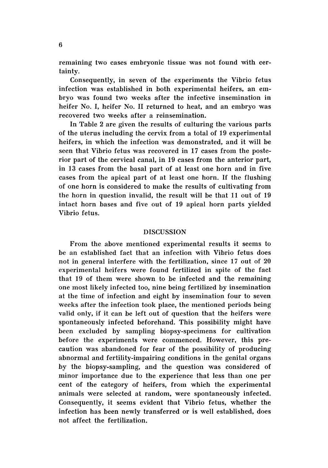remaining two cases embryonic tissue was not found with certainty.

Consequently, in seven of the experiments the Vibrio fetus infection was established in both experimental heifers, an embryo was found two weeks after the infective insemination in heifer No. I, heifer No. II returned to heat, and an embryo was recovered two weeks after a reinsemination.

In Table 2 are given the results of culturing the various parts of the uterus including the cervix from a total of 19 experimental heifers, in which the infection was demonstrated, and it will be seen that Vibrio fetus was recovered in 17 cases from the posterior part of the cervical canal, in 19 cases from the anterior part, in 13 cases from the basal part of at least one horn and in five cases from the apical part of at least one horn. If the flushing of one horn is considered to make the results of cultivating from the horn in question invalid, the result will be that 11 out of 19 intact horn bases and five out of 19 apical horn parts yielded Vibrio fetus.

## DISCUSSION

From the above mentioned experimental results it seems to be an established fact that an infection with Vibrio fetus does not in general interfere with the fertilization, since 17 out of 20 experim ental heifers were found fertilized in spite of the fact that 19 of them were shown to be infected and the remaining one most likely infected too, nine being fertilized by insemination at the time of infection and eight by insemination four to seven weeks after the infection took place, the mentioned periods being valid only, if it can be left out of question that the heifers were spontaneously infected beforehand. This possibility might have been excluded by sampling biopsy-specimens for cultivation before the experiments were commenced. However, this precaution was abandoned for fear of the possibility of producing abnormal and fertility-impairing conditions in the genital organs by the biopsy-sampling, and the question was considered of minor importance due to the experience that less than one per cent of the category of heifers, from which the experimental animals were selected at random, were spontaneously infected. Consequently, it seems evident that Vibrio fetus, whether the infection has been newly transferred or is well established, does not affect the fertilization.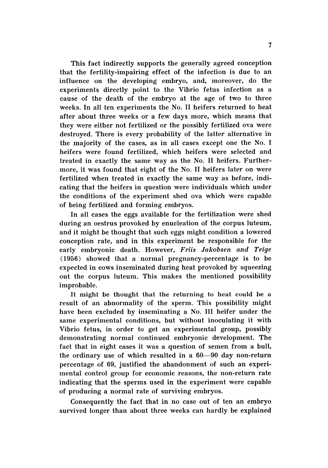This fact indirectly supports the generally agreed conception that the fertility-impairing effect of the infection is due to an influence on the developing embryo, and, moreover, do the experiments directly point to the Vibrio fetus infection as a cause of the death of the embryo at the age of two to three weeks. In all ten experiments the No. II heifers returned to heat after about three weeks or a few days more, which means that they were either not fertilized or the possibly fertilized ova were destroyed. There is every probability of the latter alternative in the majority of the cases, as in all cases except one the No. I heifers were found fertilized, which heifers were selected and treated in exactly the same way as the No. II heifers. Furthermore, it was found that eight of the No. II heifers later on were fertilized when treated in exactly the same way as before, indicating that the heifers in question were individuals which under the conditions of the experiment shed ova which were capable of being fertilized and forming embryos.

In all cases the eggs available for the fertilization were shed during an oestrus provoked by enucleation of the corpus luteum, and it might be thought that such eggs might condition a lowered conception rate, and in this experiment be responsible for the early embryonic death. However, *Friis Jakobsen and Teige* ( 1956) showed that a normal pregnancy-percentage is to be expected in cows inseminated during heat provoked by squeezing out the corpus luteum. This makes the mentioned possibility improbable.

It might be thought that the returning to heat could be a result of an abnormality of the sperm. This possibility might have been excluded by inseminating a No. III heifer under the same experimental conditions, but without inoculating it with Vibrio fetus, in order to get an experimental group, possibly demonstrating normal continued embryonic development. The fact that in eight cases it was a question of semen from a bull, the ordinary use of which resulted in a 60-90 day non-return percentage of 69, justified the abandonment of such an experimental control group for economic reasons, the non-return rate indicating that the sperms used in the experiment were capable of producing a normal rate of surviving embryos.

Consequently the fact that in no case out of ten an embryo survived longer than about three weeks can hardly be explained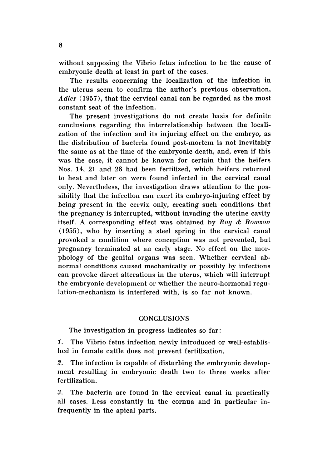without supposing the Vibrio fetus infection to be the cause of embryonic death at least in part of the cases.

The results concerning the localization of the infection in the uterus seem to confirm the author's previous observation, *Adler* (1957), that the cervical canal can be regarded as the most constant seat of the infection.

The present investigations do not create basis for definite conclusions regarding the interrelationship between the localization of the infection and its injuring effect on the embryo, as the distribution of bacteria found post-mortem is not inevitably the same as at the time of the embryonic death, and, even if this was the case, it cannot be known for certain that the heifers Nos. 14, 21 and 28 had been fertilized, which heifers returned to heat and later on were found infected in the cervical canal only. Nevertheless, the investigation draws attention to the possibility that the infection can exert its embryo-injuring effect by being present in the cervix only, creating such conditions that the pregnancy is interrupted, without invading the uterine cavity itself. A corresponding effect was obtained by *Roy* & *Rowson* (1955), who by inserting a steel spring in the cervical canal provoked a condition where conception was not prevented, but pregnancy terminated at an early stage. No effect on the morphology of the genital organs was seen. Whether cervical abnormal conditions caused mechanically or possibly by infections can provoke direct alterations in the uterus, which will interrupt the embryonic development or whether the neuro-hormonal regulation-mechanism is interfered with, is so far not known.

## **CONCLUSIONS**

The investigation in progress indicates so far:

1. The Vibrio fetus infection newly introduced or well-established in female cattle does not prevent fertilization.

2. The infection is capable of disturbing the embryonic development resulting in embryonic death two to three weeks after ferfilization.

3. The bacteria are found in the cervical canal in practically all cases. Less constantly in the cornua and in particular infrequently in the apical parts.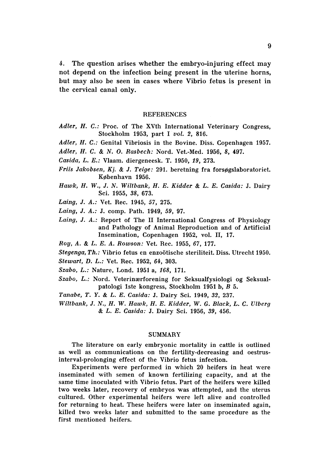4. The question arises whether the embryo-injuring effect may not depend on the infection being present in the uterine horns, but may also be seen in cases where Vibrio fetus is present in the cervical canal only.

#### **REFERENCES**

- *Adler, H. C.:* Proc. of The XVth International Veterinary Congress, Stockholm 1953, part I *vol.* 2, 816.
- *Adler, H. C.:* Genital Vibriosis in the Bovine. Diss. Copenhagen 1957.
- *Adler, H.* C. & *N.* O. *Rasbech:* Nord. Vet.-Med. 1956, 8, 497.
- *Casida , L. E.:* Vlaam. diergeneesk. T. 1950, 19, 273.
- *Friis Jakobsen, Kj. & J. Teige:* 291. beretning fra forsøgslaboratoriet. Kebenhavn 1956.
- *Hawk, H. W ., J. N. Wiltbank, H. E. Kidder.* & *L. E. Casida :* J. Dairy Sci. 1955, 38, 673.
- *Laing, J. A.:* Vet. Rec. 1945, 57, 275.
- *Laing, J. A.: J. comp. Path. 1949, 59, 97.*
- *Laing, J. A.:* Report of The II International Congress of Physiology and Pathology of Animal Reproduction and of Artificial Insemination, Copenhagen 1952, vol. II, 17.
- *Roy, A.* & *L. E. A. Rowson:* Vet. Rec. 1955, 67, 177.
- *Stegenga, Th .:* Vibrio fetus en enzootische steriliteit. Diss. Utrecht 1950.
- *Stewart,* D. *L.:* Vet. Rec. 1952, 64, 303.
- *Szabo, L.:* Nature, Lond. 1951 a, 168, 171.
- Szabo, L.: Nord. Veterinærforening for Seksualfysiologi og Seksualpatologi tste kongress, Stockholm 1951 b, B 5.
- *Tanabe, T. Y.* & *L. E. Casida:* J. Dairy Sci. 1949, 32, 237.
- *Wiltbank, J. N., H.* W. *Hawk, H. E. Kidder,* W. G. *Black, L.* C. *Ulberg* & *L. E. Casida :* J. Dairy Sci. 1956, 39, 456.

#### SUMMARY

The literature on early embryonic mortality in cattle is outlined as well as communications on the fertility-decreasing and oestrusinterval-prolonging effect of the Vibrio fetus infection.

Experiments were performed in which 20 heifers in heat were inseminated with semen of known fertilizing capacity, and at the same time inoculated with Vibrio fetus. Part of the heifers were killed two weeks later, recovery of embryos was attempted, and the uterus cultured. Other experimental heifers were left alive and controlled for returning to heat. These heifers were later on inseminated again, killed two weeks later and submitted to the same procedure as the first mentioned heifers.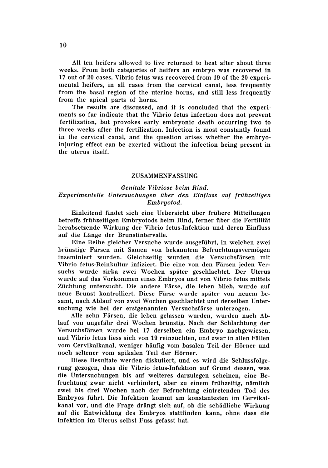All ten heifers allowed to live returned to heat after about three weeks. From both categories of heifers an embryo was recovered in 17 out of 20 cases. Vibrio fetus was re covered from 19 of the 20 experimental heifers, in all cases from the cervical canal, less frequently from the basal region of the uterine horns, and still less frequently from the apical parts of horns.

The results are discussed, and it is concluded that the experiments so far indicate that the Vibrio fetus infection does not prevent fertilization, but provokes early embryonic death occurring two to three weeks after the fertilization. Infection is most constantly found in the cervical canal, and the question arises whether the embryoinjuring effect can be exerted without the infection being present in the uterus itself.

## ZUSAMMENFASSUNG

## *Genitale Vibriose beim Rind. Experimentelle Untersuchungen iiber den Einfluss auf friihzeitigen Embryotod.*

Einleitend findet sich eine Uebersicht iiber friihere Mitteilungen betreffs friihzeitigen Embryotods beim Rind, ferner iiber die Ferfilitat herabsetzende Wirkung der Vibrio fetus-Infektion und deren Einfluss auf die Lange der Brunstintervalle.

Eine Reihe gleicher Versuche wurde ausgefiihrt, in welchen zwei brünstige Färsen mit Samen von bekanntem Befruchtungsvermögen inseminiert wurden. Gleichzeitig wurden die Versuchsfärsen mit Vibrio fetus-Reinkultur infiziert. Die eine von den Färsen jeden Versuchs wurde zirka zwei Wochen spater geschlachtet. Der Uterus wurde auf das Vorkommen eines Embryos und von Vibrio fetus mittels Züchtung untersucht. Die andere Färse, die leben blieb, wurde auf neue Brunst kontrolliert. Diese Farse wurde spater von neuem besamt, nach Ablauf von zwei Wochen geschlachtet und derselben Untersuchung wie bei der erstgenannten Versuchsfärse unterzogen.

AIle zehn Farsen, die leben gelassen wurden, wurden nach Ablauf von ungefahr drei Wochen briinstig. Nach der Schlachtung der Versuchsfärsen wurde bei 17 derselben ein Embryo nachgewiesen, und Vibrio fetus liess sich von 19 reinziichten, und zwar in allen Fallen vom Cervikalkanal, weniger häufig vom basalen Teil der Hörner und noch seltener vom apikalen Teil der Hörner.

Diese Resultate werden diskutiert, und es wird die Schlussfolgerung gezogen, dass die Vibrio fetus-Infektion auf Grund dessen, was die Untersuchungen bis auf weiteres darzulegen scheinen, eine Befruchtung zwar nicht verhindert, aber zu einem frühzeitig, nämlich zwei bis drei Wochen nach der Befruchtung eintretenden Tod des Embryos fiihrt. Die Infektion kommt am konstantesten im Cervikalkanal vor, und die Frage drängt sich auf, ob die schädliche Wirkung auf die Entwicklung des Embryos stattfinden kann, ohne dass die Infektion im Uterus selbst Fuss gefasst hat.